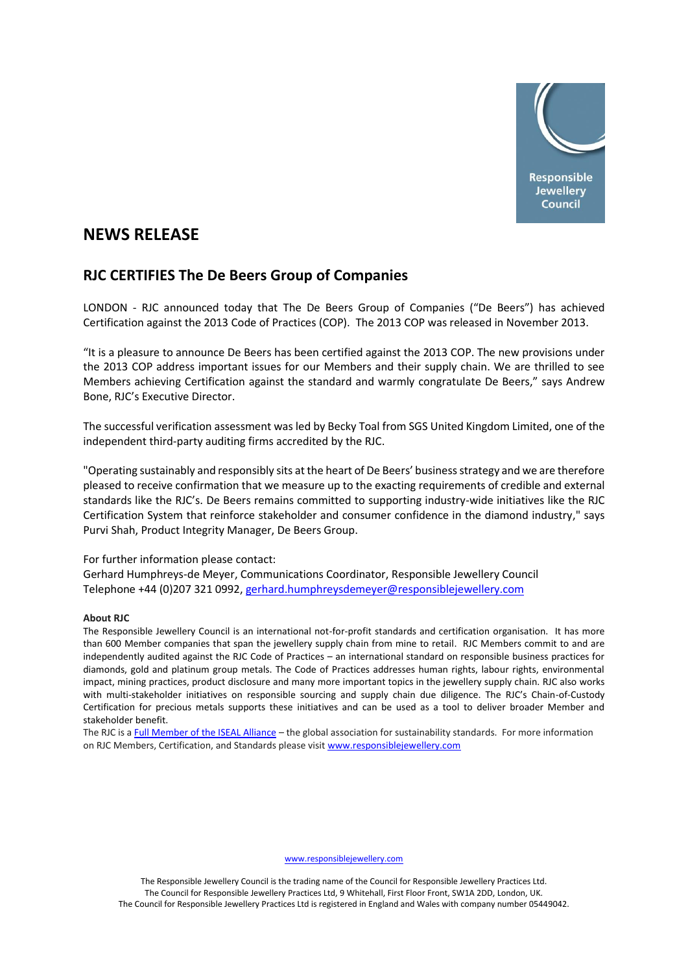

# **NEWS RELEASE**

## **RJC CERTIFIES The De Beers Group of Companies**

LONDON - RJC announced today that The De Beers Group of Companies ("De Beers") has achieved Certification against the 2013 Code of Practices (COP). The 2013 COP was released in November 2013.

"It is a pleasure to announce De Beers has been certified against the 2013 COP. The new provisions under the 2013 COP address important issues for our Members and their supply chain. We are thrilled to see Members achieving Certification against the standard and warmly congratulate De Beers," says Andrew Bone, RJC's Executive Director.

The successful verification assessment was led by Becky Toal from SGS United Kingdom Limited, one of the independent third-party auditing firms accredited by the RJC.

"Operating sustainably and responsibly sits at the heart of De Beers' business strategy and we are therefore pleased to receive confirmation that we measure up to the exacting requirements of credible and external standards like the RJC's. De Beers remains committed to supporting industry-wide initiatives like the RJC Certification System that reinforce stakeholder and consumer confidence in the diamond industry," says Purvi Shah, Product Integrity Manager, De Beers Group.

### For further information please contact:

Gerhard Humphreys-de Meyer, Communications Coordinator, Responsible Jewellery Council Telephone +44 (0)207 321 0992, [gerhard.humphreysdemeyer@responsiblejewellery.com](mailto:gerhard.humphreysdemeyer@responsiblejewellery.com)

### **About RJC**

The Responsible Jewellery Council is an international not-for-profit standards and certification organisation. It has more than 600 Member companies that span the jewellery supply chain from mine to retail. RJC Members commit to and are independently audited against the RJC Code of Practices – an international standard on responsible business practices for diamonds, gold and platinum group metals. The Code of Practices addresses human rights, labour rights, environmental impact, mining practices, product disclosure and many more important topics in the jewellery supply chain. RJC also works with multi-stakeholder initiatives on responsible sourcing and supply chain due diligence. The RJC's Chain-of-Custody Certification for precious metals supports these initiatives and can be used as a tool to deliver broader Member and stakeholder benefit.

The RJC is [a Full Member of the ISEAL Alliance](http://www.isealalliance.org/our-members/full-members) – the global association for sustainability standards. For more information on RJC Members, Certification, and Standards please visi[t www.responsiblejewellery.com](http://www.responsiblejewellery.com/)

[www.responsiblejewellery.com](http://www.responsiblejewellery.com/)

The Responsible Jewellery Council is the trading name of the Council for Responsible Jewellery Practices Ltd. The Council for Responsible Jewellery Practices Ltd, 9 Whitehall, First Floor Front, SW1A 2DD, London, UK. The Council for Responsible Jewellery Practices Ltd is registered in England and Wales with company number 05449042.